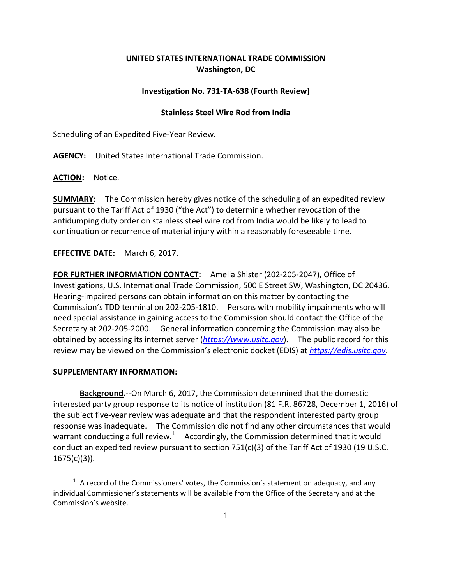## **UNITED STATES INTERNATIONAL TRADE COMMISSION Washington, DC**

## **Investigation No. 731-TA-638 (Fourth Review)**

## **Stainless Steel Wire Rod from India**

Scheduling of an Expedited Five-Year Review.

**AGENCY:** United States International Trade Commission.

**ACTION:** Notice.

**SUMMARY:** The Commission hereby gives notice of the scheduling of an expedited review pursuant to the Tariff Act of 1930 ("the Act") to determine whether revocation of the antidumping duty order on stainless steel wire rod from India would be likely to lead to continuation or recurrence of material injury within a reasonably foreseeable time.

**EFFECTIVE DATE:** March 6, 2017.

**FOR FURTHER INFORMATION CONTACT:** Amelia Shister (202-205-2047), Office of Investigations, U.S. International Trade Commission, 500 E Street SW, Washington, DC 20436. Hearing-impaired persons can obtain information on this matter by contacting the Commission's TDD terminal on 202-205-1810. Persons with mobility impairments who will need special assistance in gaining access to the Commission should contact the Office of the Secretary at 202-205-2000. General information concerning the Commission may also be obtained by accessing its internet server (*[https://www.usitc.gov](https://www.usitc.gov/)*). The public record for this review may be viewed on the Commission's electronic docket (EDIS) at *[https://edis.usitc.gov](https://edis.usitc.gov/)*.

## **SUPPLEMENTARY INFORMATION:**

 $\overline{a}$ 

**Background.**--On March 6, 2017, the Commission determined that the domestic interested party group response to its notice of institution (81 F.R. 86728, December 1, 2016) of the subject five-year review was adequate and that the respondent interested party group response was inadequate. The Commission did not find any other circumstances that would warrant conducting a full review.<sup>[1](#page-0-0)</sup> Accordingly, the Commission determined that it would conduct an expedited review pursuant to section 751(c)(3) of the Tariff Act of 1930 (19 U.S.C.  $1675(c)(3)$ ).

<span id="page-0-0"></span> $1$  A record of the Commissioners' votes, the Commission's statement on adequacy, and any individual Commissioner's statements will be available from the Office of the Secretary and at the Commission's website.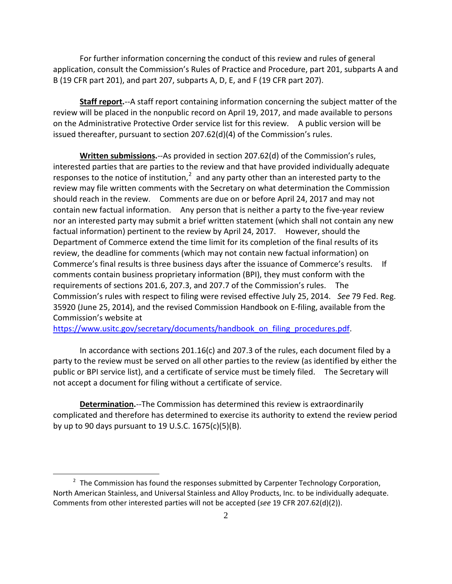For further information concerning the conduct of this review and rules of general application, consult the Commission's Rules of Practice and Procedure, part 201, subparts A and B (19 CFR part 201), and part 207, subparts A, D, E, and F (19 CFR part 207).

**Staff report.**--A staff report containing information concerning the subject matter of the review will be placed in the nonpublic record on April 19, 2017, and made available to persons on the Administrative Protective Order service list for this review. A public version will be issued thereafter, pursuant to section 207.62(d)(4) of the Commission's rules.

**Written submissions.**--As provided in section 207.62(d) of the Commission's rules, interested parties that are parties to the review and that have provided individually adequate responses to the notice of institution, $2$  and any party other than an interested party to the review may file written comments with the Secretary on what determination the Commission should reach in the review. Comments are due on or before April 24, 2017 and may not contain new factual information. Any person that is neither a party to the five-year review nor an interested party may submit a brief written statement (which shall not contain any new factual information) pertinent to the review by April 24, 2017. However, should the Department of Commerce extend the time limit for its completion of the final results of its review, the deadline for comments (which may not contain new factual information) on Commerce's final results is three business days after the issuance of Commerce's results. If comments contain business proprietary information (BPI), they must conform with the requirements of sections 201.6, 207.3, and 207.7 of the Commission's rules. The Commission's rules with respect to filing were revised effective July 25, 2014. *See* 79 Fed. Reg. 35920 (June 25, 2014), and the revised Commission Handbook on E-filing, available from the Commission's website at

[https://www.usitc.gov/secretary/documents/handbook\\_on\\_filing\\_procedures.pdf.](https://www.usitc.gov/secretary/documents/handbook_on_filing_procedures.pdf)

In accordance with sections 201.16(c) and 207.3 of the rules, each document filed by a party to the review must be served on all other parties to the review (as identified by either the public or BPI service list), and a certificate of service must be timely filed. The Secretary will not accept a document for filing without a certificate of service.

**Determination.**--The Commission has determined this review is extraordinarily complicated and therefore has determined to exercise its authority to extend the review period by up to 90 days pursuant to 19 U.S.C. 1675(c)(5)(B).

 $\overline{a}$ 

<span id="page-1-0"></span> $2$  The Commission has found the responses submitted by Carpenter Technology Corporation, North American Stainless, and Universal Stainless and Alloy Products, Inc. to be individually adequate. Comments from other interested parties will not be accepted (*see* 19 CFR 207.62(d)(2)).